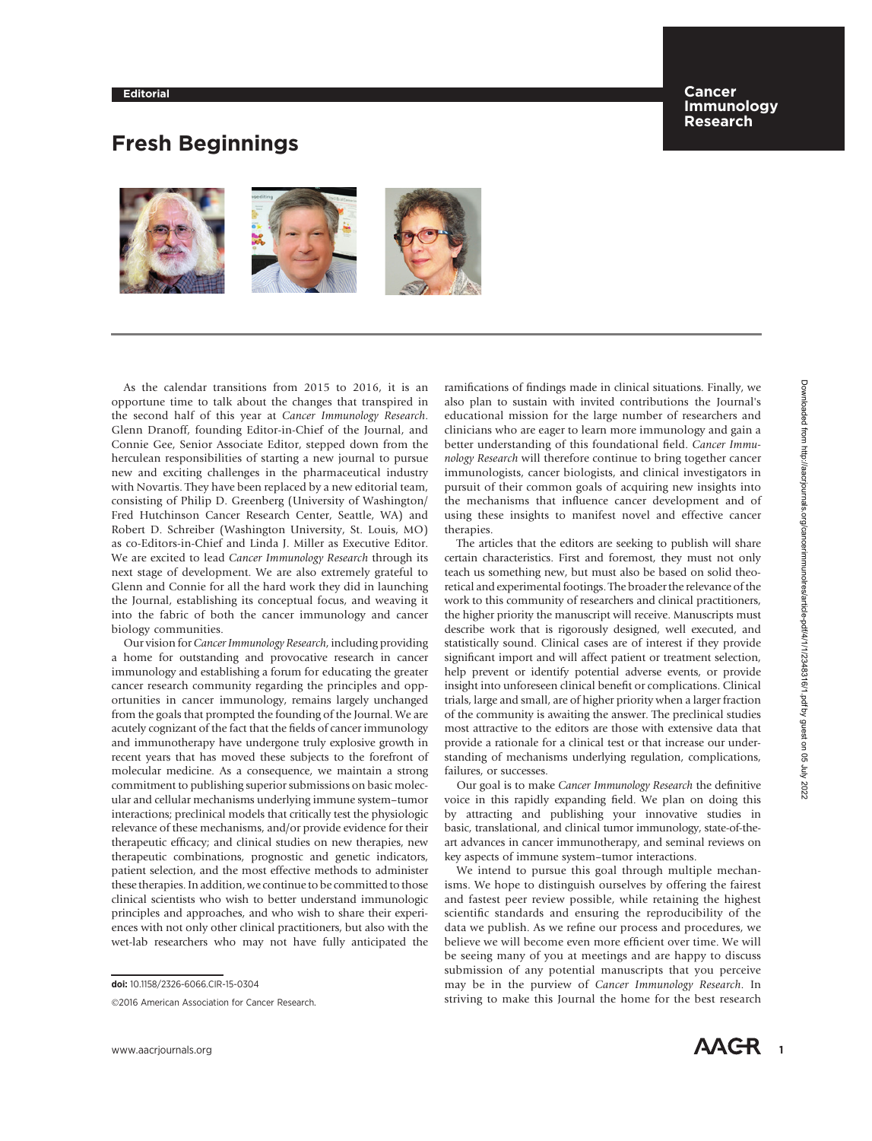## Fresh Beginnings



As the calendar transitions from 2015 to 2016, it is an opportune time to talk about the changes that transpired in the second half of this year at Cancer Immunology Research. Glenn Dranoff, founding Editor-in-Chief of the Journal, and Connie Gee, Senior Associate Editor, stepped down from the herculean responsibilities of starting a new journal to pursue new and exciting challenges in the pharmaceutical industry with Novartis. They have been replaced by a new editorial team, consisting of Philip D. Greenberg (University of Washington/ Fred Hutchinson Cancer Research Center, Seattle, WA) and Robert D. Schreiber (Washington University, St. Louis, MO) as co-Editors-in-Chief and Linda J. Miller as Executive Editor. We are excited to lead Cancer Immunology Research through its next stage of development. We are also extremely grateful to Glenn and Connie for all the hard work they did in launching the Journal, establishing its conceptual focus, and weaving it into the fabric of both the cancer immunology and cancer biology communities.

Our vision for Cancer Immunology Research, including providing a home for outstanding and provocative research in cancer immunology and establishing a forum for educating the greater cancer research community regarding the principles and opportunities in cancer immunology, remains largely unchanged from the goals that prompted the founding of the Journal. We are acutely cognizant of the fact that the fields of cancer immunology and immunotherapy have undergone truly explosive growth in recent years that has moved these subjects to the forefront of molecular medicine. As a consequence, we maintain a strong commitment to publishing superior submissions on basic molecular and cellular mechanisms underlying immune system–tumor interactions; preclinical models that critically test the physiologic relevance of these mechanisms, and/or provide evidence for their therapeutic efficacy; and clinical studies on new therapies, new therapeutic combinations, prognostic and genetic indicators, patient selection, and the most effective methods to administer these therapies. In addition, we continue to be committed to those clinical scientists who wish to better understand immunologic principles and approaches, and who wish to share their experiences with not only other clinical practitioners, but also with the wet-lab researchers who may not have fully anticipated the

2016 American Association for Cancer Research.

ramifications of findings made in clinical situations. Finally, we also plan to sustain with invited contributions the Journal's educational mission for the large number of researchers and clinicians who are eager to learn more immunology and gain a better understanding of this foundational field. Cancer Immunology Research will therefore continue to bring together cancer immunologists, cancer biologists, and clinical investigators in pursuit of their common goals of acquiring new insights into the mechanisms that influence cancer development and of using these insights to manifest novel and effective cancer therapies.

The articles that the editors are seeking to publish will share certain characteristics. First and foremost, they must not only teach us something new, but must also be based on solid theoretical and experimental footings. The broader the relevance of the work to this community of researchers and clinical practitioners, the higher priority the manuscript will receive. Manuscripts must describe work that is rigorously designed, well executed, and statistically sound. Clinical cases are of interest if they provide significant import and will affect patient or treatment selection, help prevent or identify potential adverse events, or provide insight into unforeseen clinical benefit or complications. Clinical trials, large and small, are of higher priority when a larger fraction of the community is awaiting the answer. The preclinical studies most attractive to the editors are those with extensive data that provide a rationale for a clinical test or that increase our understanding of mechanisms underlying regulation, complications, failures, or successes.

Our goal is to make Cancer Immunology Research the definitive voice in this rapidly expanding field. We plan on doing this by attracting and publishing your innovative studies in basic, translational, and clinical tumor immunology, state-of-theart advances in cancer immunotherapy, and seminal reviews on key aspects of immune system–tumor interactions.

We intend to pursue this goal through multiple mechanisms. We hope to distinguish ourselves by offering the fairest and fastest peer review possible, while retaining the highest scientific standards and ensuring the reproducibility of the data we publish. As we refine our process and procedures, we believe we will become even more efficient over time. We will be seeing many of you at meetings and are happy to discuss submission of any potential manuscripts that you perceive may be in the purview of Cancer Immunology Research. In striving to make this Journal the home for the best research



doi: 10.1158/2326-6066.CIR-15-0304